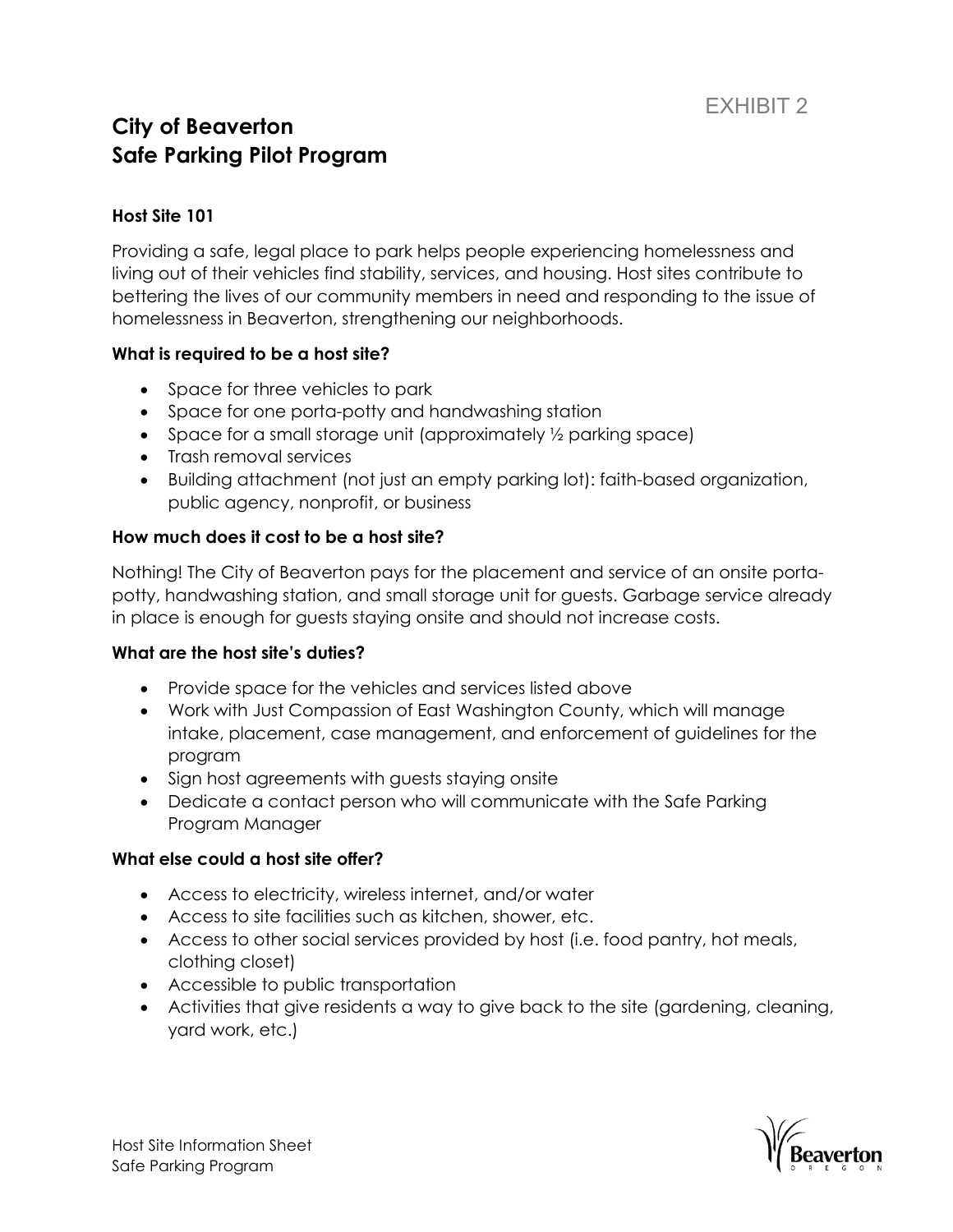# **City of Beaverton Safe Parking Pilot Program**

## **Host Site 101**

Providing a safe, legal place to park helps people experiencing homelessness and living out of their vehicles find stability, services, and housing. Host sites contribute to bettering the lives of our community members in need and responding to the issue of homelessness in Beaverton, strengthening our neighborhoods.

### **What is required to be a host site?**

- Space for three vehicles to park
- Space for one porta-potty and handwashing station
- Space for a small storage unit (approximately 1/2 parking space)
- Trash removal services
- Building attachment (not just an empty parking lot): faith-based organization, public agency, nonprofit, or business

# **How much does it cost to be a host site?**

Nothing! The City of Beaverton pays for the placement and service of an onsite portapotty, handwashing station, and small storage unit for guests. Garbage service already in place is enough for guests staying onsite and should not increase costs.

### **What are the host site's duties?**

- Provide space for the vehicles and services listed above
- Work with Just Compassion of East Washington County, which will manage intake, placement, case management, and enforcement of guidelines for the program
- Sign host agreements with guests staying onsite
- Dedicate a contact person who will communicate with the Safe Parking Program Manager

### **What else could a host site offer?**

- Access to electricity, wireless internet, and/or water
- Access to site facilities such as kitchen, shower, etc.
- Access to other social services provided by host (i.e. food pantry, hot meals, clothing closet)
- Accessible to public transportation
- Activities that give residents a way to give back to the site (gardening, cleaning, yard work, etc.)